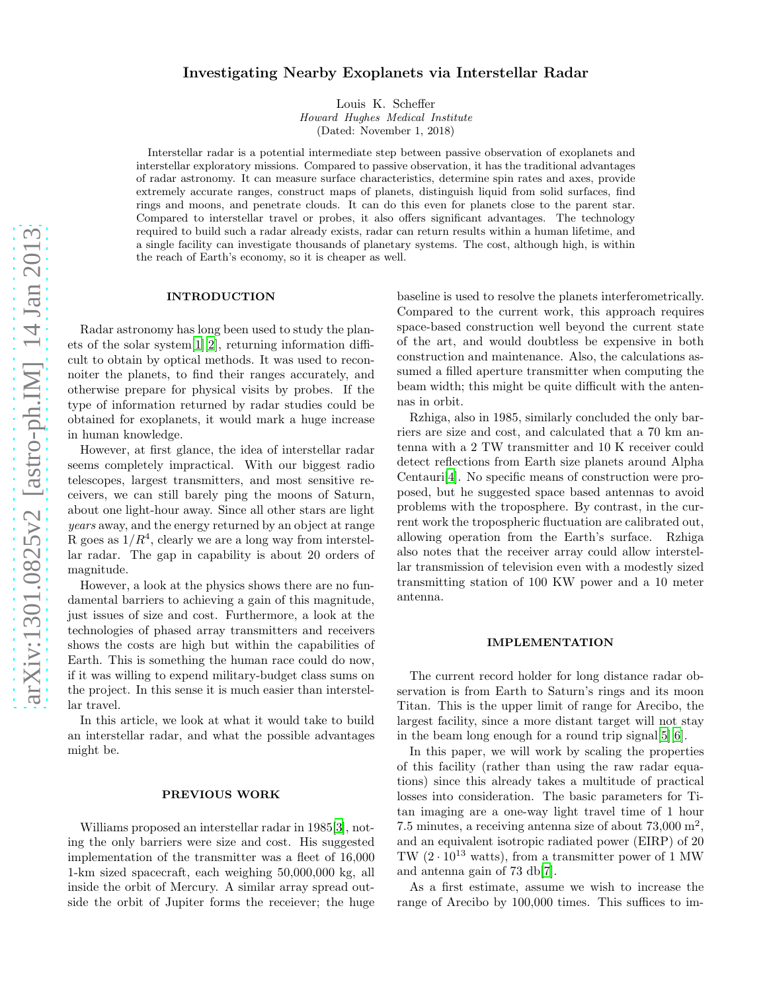# Investigating Nearby Exoplanets via Interstellar Radar

Louis K. Scheffer *Howard Hughes Medical Institute* (Dated: November 1, 2018)

Interstellar radar is a potential intermediate step between passive observation of exoplanets and interstellar exploratory missions. Compared to passive observation, it has the traditional advantages of radar astronomy. It can measure surface characteristics, determine spin rates and axes, provide extremely accurate ranges, construct maps of planets, distinguish liquid from solid surfaces, find rings and moons, and penetrate clouds. It can do this even for planets close to the parent star. Compared to interstellar travel or probes, it also offers significant advantages. The technology required to build such a radar already exists, radar can return results within a human lifetime, and a single facility can investigate thousands of planetary systems. The cost, although high, is within the reach of Earth's economy, so it is cheaper as well.

# INTRODUCTION

Radar astronomy has long been used to study the planets of the solar system[\[1\]](#page-4-0)[\[2](#page-4-1)], returning information difficult to obtain by optical methods. It was used to reconnoiter the planets, to find their ranges accurately, and otherwise prepare for physical visits by probes. If the type of information returned by radar studies could be obtained for exoplanets, it would mark a huge increase in human knowledge.

However, at first glance, the idea of interstellar radar seems completely impractical. With our biggest radio telescopes, largest transmitters, and most sensitive receivers, we can still barely ping the moons of Saturn, about one light-hour away. Since all other stars are light years away, and the energy returned by an object at range R goes as  $1/R<sup>4</sup>$ , clearly we are a long way from interstellar radar. The gap in capability is about 20 orders of magnitude.

However, a look at the physics shows there are no fundamental barriers to achieving a gain of this magnitude, just issues of size and cost. Furthermore, a look at the technologies of phased array transmitters and receivers shows the costs are high but within the capabilities of Earth. This is something the human race could do now, if it was willing to expend military-budget class sums on the project. In this sense it is much easier than interstellar travel.

In this article, we look at what it would take to build an interstellar radar, and what the possible advantages might be.

#### PREVIOUS WORK

Williams proposed an interstellar radar in 1985[\[3](#page-4-2)], noting the only barriers were size and cost. His suggested implementation of the transmitter was a fleet of 16,000 1-km sized spacecraft, each weighing 50,000,000 kg, all inside the orbit of Mercury. A similar array spread outside the orbit of Jupiter forms the receiever; the huge baseline is used to resolve the planets interferometrically. Compared to the current work, this approach requires space-based construction well beyond the current state of the art, and would doubtless be expensive in both construction and maintenance. Also, the calculations assumed a filled aperture transmitter when computing the beam width; this might be quite difficult with the antennas in orbit.

Rzhiga, also in 1985, similarly concluded the only barriers are size and cost, and calculated that a 70 km antenna with a 2 TW transmitter and 10 K receiver could detect reflections from Earth size planets around Alpha Centauri[\[4\]](#page-4-3). No specific means of construction were proposed, but he suggested space based antennas to avoid problems with the troposphere. By contrast, in the current work the tropospheric fluctuation are calibrated out, allowing operation from the Earth's surface. Rzhiga also notes that the receiver array could allow interstellar transmission of television even with a modestly sized transmitting station of 100 KW power and a 10 meter antenna.

#### IMPLEMENTATION

The current record holder for long distance radar observation is from Earth to Saturn's rings and its moon Titan. This is the upper limit of range for Arecibo, the largest facility, since a more distant target will not stay in the beam long enough for a round trip signal[\[5](#page-4-4)][\[6\]](#page-4-5).

In this paper, we will work by scaling the properties of this facility (rather than using the raw radar equations) since this already takes a multitude of practical losses into consideration. The basic parameters for Titan imaging are a one-way light travel time of 1 hour 7.5 minutes, a receiving antenna size of about  $73,000$  m<sup>2</sup>, and an equivalent isotropic radiated power (EIRP) of 20 TW  $(2 \cdot 10^{13} \text{ watts})$ , from a transmitter power of 1 MW and antenna gain of 73 db[\[7](#page-4-6)].

As a first estimate, assume we wish to increase the range of Arecibo by 100,000 times. This suffices to im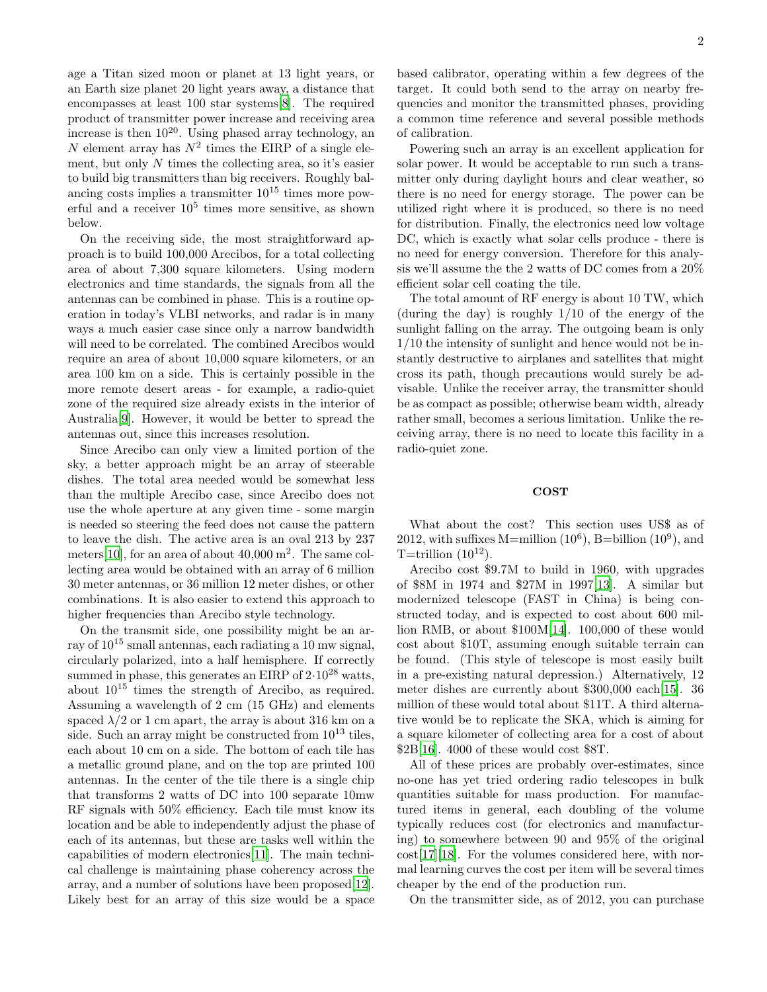age a Titan sized moon or planet at 13 light years, or an Earth size planet 20 light years away, a distance that encompasses at least 100 star systems[\[8](#page-4-7)]. The required product of transmitter power increase and receiving area increase is then  $10^{20}$ . Using phased array technology, an N element array has  $N^2$  times the EIRP of a single element, but only  $N$  times the collecting area, so it's easier to build big transmitters than big receivers. Roughly balancing costs implies a transmitter  $10^{15}$  times more powerful and a receiver  $10^5$  times more sensitive, as shown below.

On the receiving side, the most straightforward approach is to build 100,000 Arecibos, for a total collecting area of about 7,300 square kilometers. Using modern electronics and time standards, the signals from all the antennas can be combined in phase. This is a routine operation in today's VLBI networks, and radar is in many ways a much easier case since only a narrow bandwidth will need to be correlated. The combined Arecibos would require an area of about 10,000 square kilometers, or an area 100 km on a side. This is certainly possible in the more remote desert areas - for example, a radio-quiet zone of the required size already exists in the interior of Australia[\[9\]](#page-4-8). However, it would be better to spread the antennas out, since this increases resolution.

Since Arecibo can only view a limited portion of the sky, a better approach might be an array of steerable dishes. The total area needed would be somewhat less than the multiple Arecibo case, since Arecibo does not use the whole aperture at any given time - some margin is needed so steering the feed does not cause the pattern to leave the dish. The active area is an oval 213 by 237 meters [\[10\]](#page-4-9), for an area of about  $40,000$  m<sup>2</sup>. The same collecting area would be obtained with an array of 6 million 30 meter antennas, or 36 million 12 meter dishes, or other combinations. It is also easier to extend this approach to higher frequencies than Arecibo style technology.

On the transmit side, one possibility might be an array of  $10^{15}$  small antennas, each radiating a 10 mw signal, circularly polarized, into a half hemisphere. If correctly summed in phase, this generates an EIRP of  $2.10^{28}$  watts, about  $10^{15}$  times the strength of Arecibo, as required. Assuming a wavelength of 2 cm (15 GHz) and elements spaced  $\lambda/2$  or 1 cm apart, the array is about 316 km on a side. Such an array might be constructed from  $10^{13}$  tiles, each about 10 cm on a side. The bottom of each tile has a metallic ground plane, and on the top are printed 100 antennas. In the center of the tile there is a single chip that transforms 2 watts of DC into 100 separate 10mw RF signals with 50% efficiency. Each tile must know its location and be able to independently adjust the phase of each of its antennas, but these are tasks well within the capabilities of modern electronics[\[11\]](#page-4-10). The main technical challenge is maintaining phase coherency across the array, and a number of solutions have been proposed[\[12\]](#page-4-11). Likely best for an array of this size would be a space

based calibrator, operating within a few degrees of the target. It could both send to the array on nearby frequencies and monitor the transmitted phases, providing a common time reference and several possible methods of calibration.

Powering such an array is an excellent application for solar power. It would be acceptable to run such a transmitter only during daylight hours and clear weather, so there is no need for energy storage. The power can be utilized right where it is produced, so there is no need for distribution. Finally, the electronics need low voltage DC, which is exactly what solar cells produce - there is no need for energy conversion. Therefore for this analysis we'll assume the the 2 watts of DC comes from a 20% efficient solar cell coating the tile.

The total amount of RF energy is about 10 TW, which (during the day) is roughly  $1/10$  of the energy of the sunlight falling on the array. The outgoing beam is only 1/10 the intensity of sunlight and hence would not be instantly destructive to airplanes and satellites that might cross its path, though precautions would surely be advisable. Unlike the receiver array, the transmitter should be as compact as possible; otherwise beam width, already rather small, becomes a serious limitation. Unlike the receiving array, there is no need to locate this facility in a radio-quiet zone.

#### COST

What about the cost? This section uses US\$ as of 2012, with suffixes  $M=$ million  $(10^6)$ , B=billion  $(10^9)$ , and T=trillion  $(10^{12})$ .

Arecibo cost \$9.7M to build in 1960, with upgrades of \$8M in 1974 and \$27M in 1997[\[13\]](#page-4-12). A similar but modernized telescope (FAST in China) is being constructed today, and is expected to cost about 600 million RMB, or about \$100M[\[14\]](#page-5-0). 100,000 of these would cost about \$10T, assuming enough suitable terrain can be found. (This style of telescope is most easily built in a pre-existing natural depression.) Alternatively, 12 meter dishes are currently about \$300,000 each[\[15\]](#page-5-1). 36 million of these would total about \$11T. A third alternative would be to replicate the SKA, which is aiming for a square kilometer of collecting area for a cost of about \$2B[\[16\]](#page-5-2). 4000 of these would cost \$8T.

All of these prices are probably over-estimates, since no-one has yet tried ordering radio telescopes in bulk quantities suitable for mass production. For manufactured items in general, each doubling of the volume typically reduces cost (for electronics and manufacturing) to somewhere between 90 and 95% of the original cost[\[17\]](#page-5-3)[\[18\]](#page-5-4). For the volumes considered here, with normal learning curves the cost per item will be several times cheaper by the end of the production run.

On the transmitter side, as of 2012, you can purchase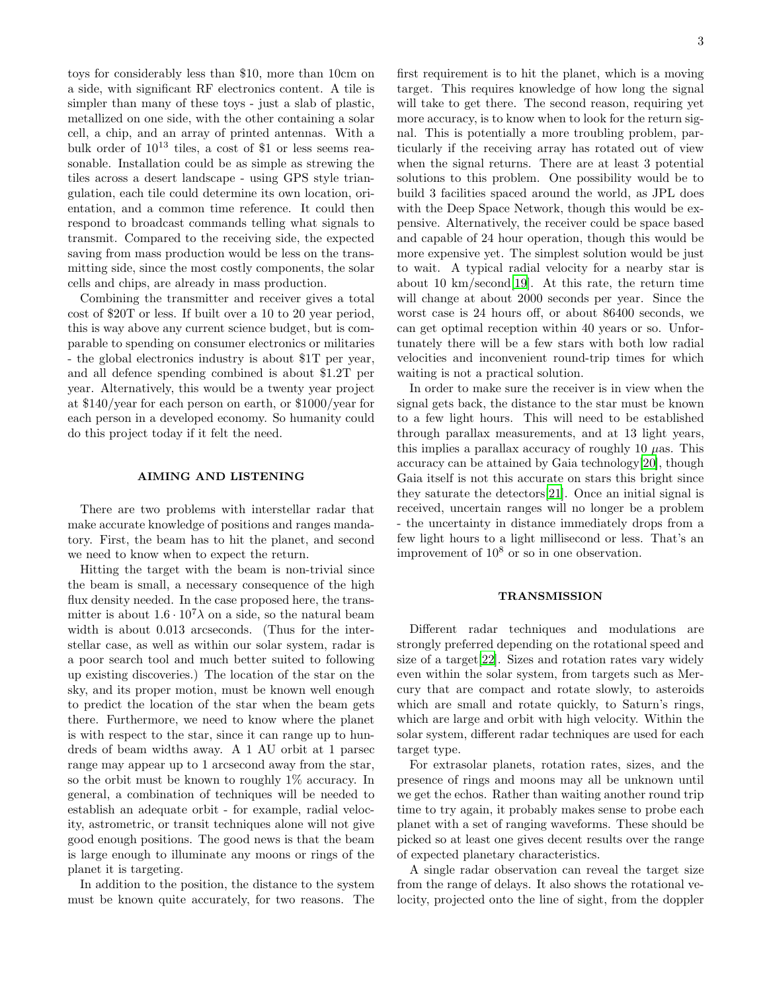toys for considerably less than \$10, more than 10cm on a side, with significant RF electronics content. A tile is simpler than many of these toys - just a slab of plastic, metallized on one side, with the other containing a solar cell, a chip, and an array of printed antennas. With a bulk order of  $10^{13}$  tiles, a cost of \$1 or less seems reasonable. Installation could be as simple as strewing the tiles across a desert landscape - using GPS style triangulation, each tile could determine its own location, orientation, and a common time reference. It could then respond to broadcast commands telling what signals to transmit. Compared to the receiving side, the expected saving from mass production would be less on the transmitting side, since the most costly components, the solar cells and chips, are already in mass production.

Combining the transmitter and receiver gives a total cost of \$20T or less. If built over a 10 to 20 year period, this is way above any current science budget, but is comparable to spending on consumer electronics or militaries - the global electronics industry is about \$1T per year, and all defence spending combined is about \$1.2T per year. Alternatively, this would be a twenty year project at \$140/year for each person on earth, or \$1000/year for each person in a developed economy. So humanity could do this project today if it felt the need.

# AIMING AND LISTENING

There are two problems with interstellar radar that make accurate knowledge of positions and ranges mandatory. First, the beam has to hit the planet, and second we need to know when to expect the return.

Hitting the target with the beam is non-trivial since the beam is small, a necessary consequence of the high flux density needed. In the case proposed here, the transmitter is about  $1.6 \cdot 10^7 \lambda$  on a side, so the natural beam width is about 0.013 arcseconds. (Thus for the interstellar case, as well as within our solar system, radar is a poor search tool and much better suited to following up existing discoveries.) The location of the star on the sky, and its proper motion, must be known well enough to predict the location of the star when the beam gets there. Furthermore, we need to know where the planet is with respect to the star, since it can range up to hundreds of beam widths away. A 1 AU orbit at 1 parsec range may appear up to 1 arcsecond away from the star, so the orbit must be known to roughly 1% accuracy. In general, a combination of techniques will be needed to establish an adequate orbit - for example, radial velocity, astrometric, or transit techniques alone will not give good enough positions. The good news is that the beam is large enough to illuminate any moons or rings of the planet it is targeting.

In addition to the position, the distance to the system must be known quite accurately, for two reasons. The

first requirement is to hit the planet, which is a moving target. This requires knowledge of how long the signal will take to get there. The second reason, requiring yet more accuracy, is to know when to look for the return signal. This is potentially a more troubling problem, particularly if the receiving array has rotated out of view when the signal returns. There are at least 3 potential solutions to this problem. One possibility would be to build 3 facilities spaced around the world, as JPL does with the Deep Space Network, though this would be expensive. Alternatively, the receiver could be space based and capable of 24 hour operation, though this would be more expensive yet. The simplest solution would be just to wait. A typical radial velocity for a nearby star is about 10 km/second[\[19\]](#page-5-5). At this rate, the return time will change at about 2000 seconds per year. Since the worst case is 24 hours off, or about 86400 seconds, we can get optimal reception within 40 years or so. Unfortunately there will be a few stars with both low radial velocities and inconvenient round-trip times for which waiting is not a practical solution.

In order to make sure the receiver is in view when the signal gets back, the distance to the star must be known to a few light hours. This will need to be established through parallax measurements, and at 13 light years, this implies a parallax accuracy of roughly 10  $\mu$ as. This accuracy can be attained by Gaia technology[\[20\]](#page-5-6), though Gaia itself is not this accurate on stars this bright since they saturate the detectors[\[21\]](#page-5-7). Once an initial signal is received, uncertain ranges will no longer be a problem - the uncertainty in distance immediately drops from a few light hours to a light millisecond or less. That's an improvement of  $10^8$  or so in one observation.

# TRANSMISSION

Different radar techniques and modulations are strongly preferred depending on the rotational speed and size of a target[\[22\]](#page-5-8). Sizes and rotation rates vary widely even within the solar system, from targets such as Mercury that are compact and rotate slowly, to asteroids which are small and rotate quickly, to Saturn's rings, which are large and orbit with high velocity. Within the solar system, different radar techniques are used for each target type.

For extrasolar planets, rotation rates, sizes, and the presence of rings and moons may all be unknown until we get the echos. Rather than waiting another round trip time to try again, it probably makes sense to probe each planet with a set of ranging waveforms. These should be picked so at least one gives decent results over the range of expected planetary characteristics.

A single radar observation can reveal the target size from the range of delays. It also shows the rotational velocity, projected onto the line of sight, from the doppler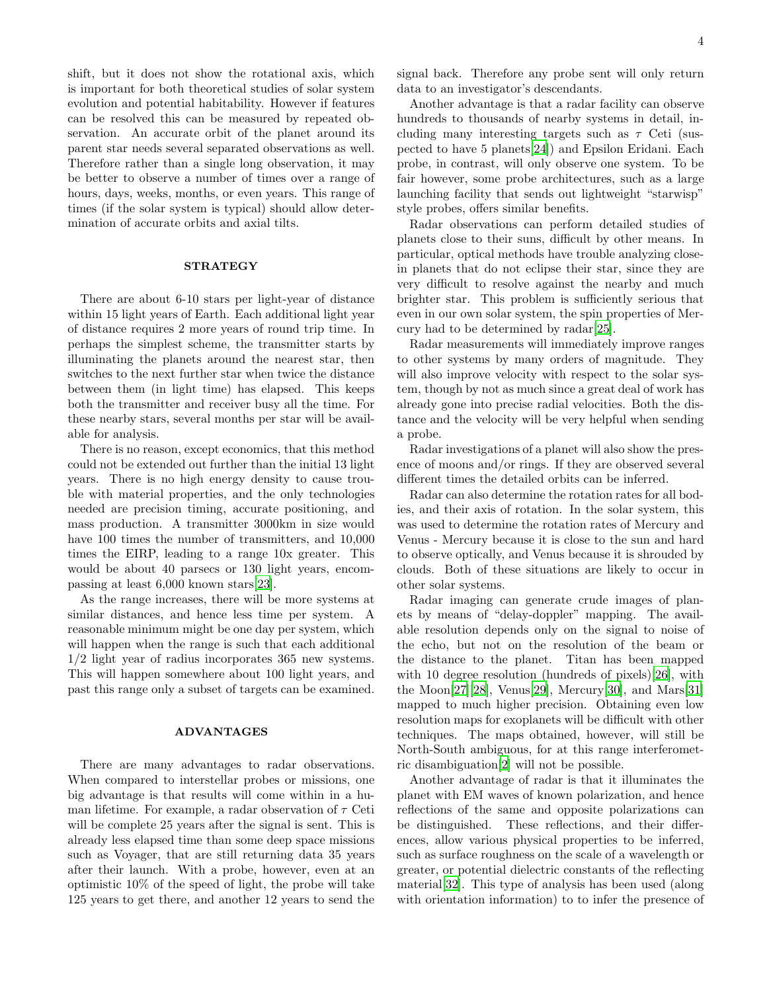shift, but it does not show the rotational axis, which is important for both theoretical studies of solar system evolution and potential habitability. However if features can be resolved this can be measured by repeated observation. An accurate orbit of the planet around its parent star needs several separated observations as well. Therefore rather than a single long observation, it may be better to observe a number of times over a range of hours, days, weeks, months, or even years. This range of times (if the solar system is typical) should allow determination of accurate orbits and axial tilts.

# **STRATEGY**

There are about 6-10 stars per light-year of distance within 15 light years of Earth. Each additional light year of distance requires 2 more years of round trip time. In perhaps the simplest scheme, the transmitter starts by illuminating the planets around the nearest star, then switches to the next further star when twice the distance between them (in light time) has elapsed. This keeps both the transmitter and receiver busy all the time. For these nearby stars, several months per star will be available for analysis.

There is no reason, except economics, that this method could not be extended out further than the initial 13 light years. There is no high energy density to cause trouble with material properties, and the only technologies needed are precision timing, accurate positioning, and mass production. A transmitter 3000km in size would have 100 times the number of transmitters, and  $10,000$ times the EIRP, leading to a range 10x greater. This would be about 40 parsecs or 130 light years, encompassing at least 6,000 known stars[\[23\]](#page-5-9).

As the range increases, there will be more systems at similar distances, and hence less time per system. A reasonable minimum might be one day per system, which will happen when the range is such that each additional 1/2 light year of radius incorporates 365 new systems. This will happen somewhere about 100 light years, and past this range only a subset of targets can be examined.

#### ADVANTAGES

There are many advantages to radar observations. When compared to interstellar probes or missions, one big advantage is that results will come within in a human lifetime. For example, a radar observation of  $\tau$  Ceti will be complete 25 years after the signal is sent. This is already less elapsed time than some deep space missions such as Voyager, that are still returning data 35 years after their launch. With a probe, however, even at an optimistic 10% of the speed of light, the probe will take 125 years to get there, and another 12 years to send the signal back. Therefore any probe sent will only return data to an investigator's descendants.

Another advantage is that a radar facility can observe hundreds to thousands of nearby systems in detail, including many interesting targets such as  $\tau$  Ceti (suspected to have 5 planets[\[24](#page-5-10)]) and Epsilon Eridani. Each probe, in contrast, will only observe one system. To be fair however, some probe architectures, such as a large launching facility that sends out lightweight "starwisp" style probes, offers similar benefits.

Radar observations can perform detailed studies of planets close to their suns, difficult by other means. In particular, optical methods have trouble analyzing closein planets that do not eclipse their star, since they are very difficult to resolve against the nearby and much brighter star. This problem is sufficiently serious that even in our own solar system, the spin properties of Mercury had to be determined by radar[\[25\]](#page-5-11).

Radar measurements will immediately improve ranges to other systems by many orders of magnitude. They will also improve velocity with respect to the solar system, though by not as much since a great deal of work has already gone into precise radial velocities. Both the distance and the velocity will be very helpful when sending a probe.

Radar investigations of a planet will also show the presence of moons and/or rings. If they are observed several different times the detailed orbits can be inferred.

Radar can also determine the rotation rates for all bodies, and their axis of rotation. In the solar system, this was used to determine the rotation rates of Mercury and Venus - Mercury because it is close to the sun and hard to observe optically, and Venus because it is shrouded by clouds. Both of these situations are likely to occur in other solar systems.

Radar imaging can generate crude images of planets by means of "delay-doppler" mapping. The available resolution depends only on the signal to noise of the echo, but not on the resolution of the beam or the distance to the planet. Titan has been mapped with 10 degree resolution (hundreds of pixels)[\[26](#page-5-12)], with the Moon[\[27\]](#page-5-13)[\[28\]](#page-5-14), Venus[\[29](#page-5-15)], Mercury[\[30\]](#page-5-16), and Mars[\[31\]](#page-5-17) mapped to much higher precision. Obtaining even low resolution maps for exoplanets will be difficult with other techniques. The maps obtained, however, will still be North-South ambiguous, for at this range interferometric disambiguation[\[2\]](#page-4-1) will not be possible.

Another advantage of radar is that it illuminates the planet with EM waves of known polarization, and hence reflections of the same and opposite polarizations can be distinguished. These reflections, and their differences, allow various physical properties to be inferred, such as surface roughness on the scale of a wavelength or greater, or potential dielectric constants of the reflecting material[\[32\]](#page-5-18). This type of analysis has been used (along with orientation information) to to infer the presence of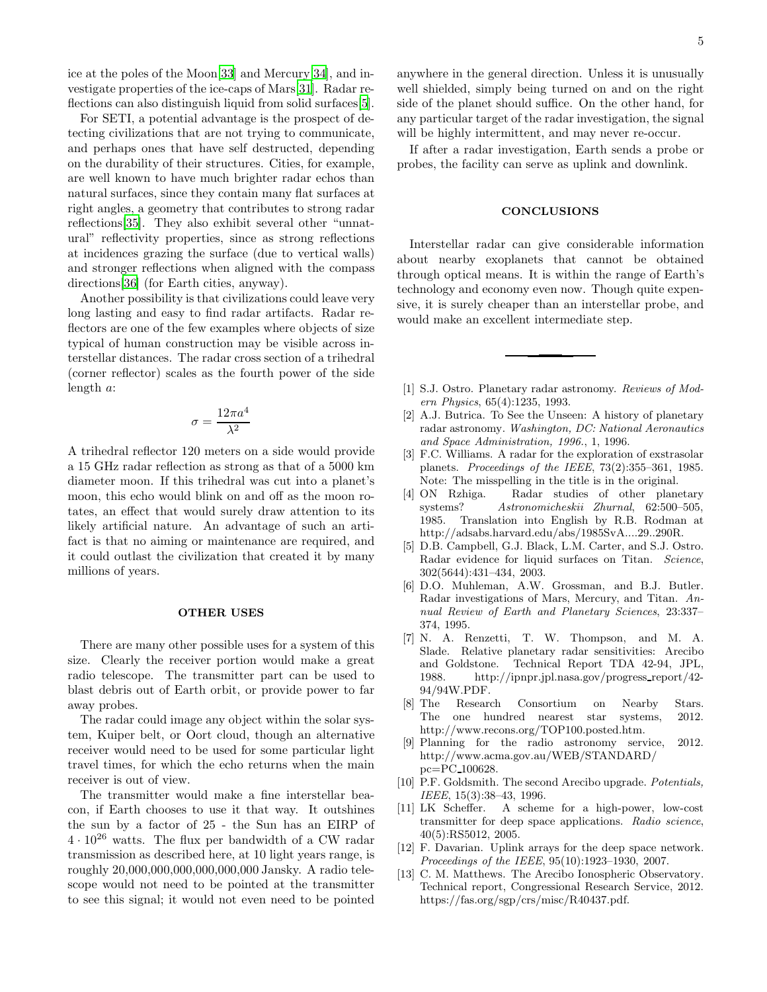ice at the poles of the Moon[\[33\]](#page-5-19) and Mercury[\[34](#page-5-20)], and investigate properties of the ice-caps of Mars[\[31\]](#page-5-17). Radar reflections can also distinguish liquid from solid surfaces[\[5\]](#page-4-4).

For SETI, a potential advantage is the prospect of detecting civilizations that are not trying to communicate, and perhaps ones that have self destructed, depending on the durability of their structures. Cities, for example, are well known to have much brighter radar echos than natural surfaces, since they contain many flat surfaces at right angles, a geometry that contributes to strong radar reflections[\[35\]](#page-5-21). They also exhibit several other "unnatural" reflectivity properties, since as strong reflections at incidences grazing the surface (due to vertical walls) and stronger reflections when aligned with the compass directions[\[36\]](#page-5-22) (for Earth cities, anyway).

Another possibility is that civilizations could leave very long lasting and easy to find radar artifacts. Radar reflectors are one of the few examples where objects of size typical of human construction may be visible across interstellar distances. The radar cross section of a trihedral (corner reflector) scales as the fourth power of the side length a:

$$
\sigma = \frac{12\pi a^4}{\lambda^2}
$$

A trihedral reflector 120 meters on a side would provide a 15 GHz radar reflection as strong as that of a 5000 km diameter moon. If this trihedral was cut into a planet's moon, this echo would blink on and off as the moon rotates, an effect that would surely draw attention to its likely artificial nature. An advantage of such an artifact is that no aiming or maintenance are required, and it could outlast the civilization that created it by many millions of years.

# OTHER USES

There are many other possible uses for a system of this size. Clearly the receiver portion would make a great radio telescope. The transmitter part can be used to blast debris out of Earth orbit, or provide power to far away probes.

The radar could image any object within the solar system, Kuiper belt, or Oort cloud, though an alternative receiver would need to be used for some particular light travel times, for which the echo returns when the main receiver is out of view.

The transmitter would make a fine interstellar beacon, if Earth chooses to use it that way. It outshines the sun by a factor of 25 - the Sun has an EIRP of  $4 \cdot 10^{26}$  watts. The flux per bandwidth of a CW radar transmission as described here, at 10 light years range, is roughly 20,000,000,000,000,000,000 Jansky. A radio telescope would not need to be pointed at the transmitter to see this signal; it would not even need to be pointed anywhere in the general direction. Unless it is unusually well shielded, simply being turned on and on the right side of the planet should suffice. On the other hand, for any particular target of the radar investigation, the signal will be highly intermittent, and may never re-occur.

If after a radar investigation, Earth sends a probe or probes, the facility can serve as uplink and downlink.

#### CONCLUSIONS

Interstellar radar can give considerable information about nearby exoplanets that cannot be obtained through optical means. It is within the range of Earth's technology and economy even now. Though quite expensive, it is surely cheaper than an interstellar probe, and would make an excellent intermediate step.

- <span id="page-4-0"></span>[1] S.J. Ostro. Planetary radar astronomy. *Reviews of Modern Physics*, 65(4):1235, 1993.
- <span id="page-4-1"></span>[2] A.J. Butrica. To See the Unseen: A history of planetary radar astronomy. *Washington, DC: National Aeronautics and Space Administration, 1996.*, 1, 1996.
- <span id="page-4-2"></span>[3] F.C. Williams. A radar for the exploration of exstrasolar planets. *Proceedings of the IEEE*, 73(2):355–361, 1985. Note: The misspelling in the title is in the original.
- <span id="page-4-3"></span>[4] ON Rzhiga. Radar studies of other planetary systems? *Astronomicheskii Zhurnal*, 62:500–505, 1985. Translation into English by R.B. Rodman at http://adsabs.harvard.edu/abs/1985SvA....29..290R.
- <span id="page-4-4"></span>[5] D.B. Campbell, G.J. Black, L.M. Carter, and S.J. Ostro. Radar evidence for liquid surfaces on Titan. *Science*, 302(5644):431–434, 2003.
- <span id="page-4-5"></span>[6] D.O. Muhleman, A.W. Grossman, and B.J. Butler. Radar investigations of Mars, Mercury, and Titan. *Annual Review of Earth and Planetary Sciences*, 23:337– 374, 1995.
- <span id="page-4-6"></span>[7] N. A. Renzetti, T. W. Thompson, and M. A. Slade. Relative planetary radar sensitivities: Arecibo and Goldstone. Technical Report TDA 42-94, JPL, 1988. http://ipnpr.jpl.nasa.gov/progress report/42- 94/94W.PDF.
- <span id="page-4-7"></span>[8] The Research Consortium on Nearby Stars. The one hundred nearest star systems, 2012. http://www.recons.org/TOP100.posted.htm.
- <span id="page-4-8"></span>[9] Planning for the radio astronomy service, 2012. http://www.acma.gov.au/WEB/STANDARD/ pc=PC 100628.
- <span id="page-4-9"></span>[10] P.F. Goldsmith. The second Arecibo upgrade. *Potentials, IEEE*, 15(3):38–43, 1996.
- <span id="page-4-10"></span>[11] LK Scheffer. A scheme for a high-power, low-cost transmitter for deep space applications. *Radio science*, 40(5):RS5012, 2005.
- <span id="page-4-11"></span>[12] F. Davarian. Uplink arrays for the deep space network. *Proceedings of the IEEE*, 95(10):1923–1930, 2007.
- <span id="page-4-12"></span>[13] C. M. Matthews. The Arecibo Ionospheric Observatory. Technical report, Congressional Research Service, 2012. https://fas.org/sgp/crs/misc/R40437.pdf.